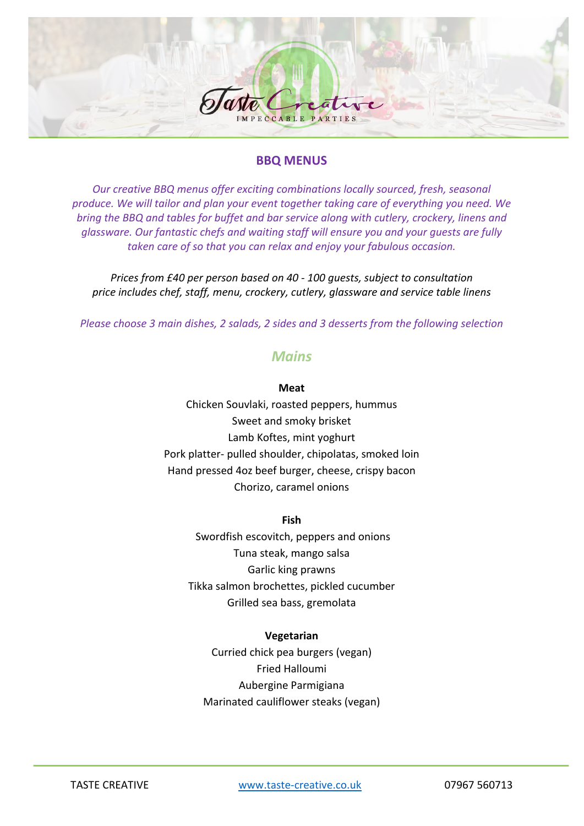

### **BBQ MENUS**

*Our creative BBQ menus offer exciting combinations locally sourced, fresh, seasonal produce. We will tailor and plan your event together taking care of everything you need. We bring the BBQ and tables for buffet and bar service along with cutlery, crockery, linens and glassware. Our fantastic chefs and waiting staff will ensure you and your guests are fully taken care of so that you can relax and enjoy your fabulous occasion.*

*Prices from £40 per person based on 40 - 100 guests, subject to consultation price includes chef, staff, menu, crockery, cutlery, glassware and service table linens*

*Please choose 3 main dishes, 2 salads, 2 sides and 3 desserts from the following selection*

### *Mains*

#### **Meat**

Chicken Souvlaki, roasted peppers, hummus Sweet and smoky brisket Lamb Koftes, mint yoghurt Pork platter- pulled shoulder, chipolatas, smoked loin Hand pressed 4oz beef burger, cheese, crispy bacon Chorizo, caramel onions

#### **Fish**

Swordfish escovitch, peppers and onions Tuna steak, mango salsa Garlic king prawns Tikka salmon brochettes, pickled cucumber Grilled sea bass, gremolata

#### **Vegetarian**

Curried chick pea burgers (vegan) Fried Halloumi Aubergine Parmigiana Marinated cauliflower steaks (vegan)